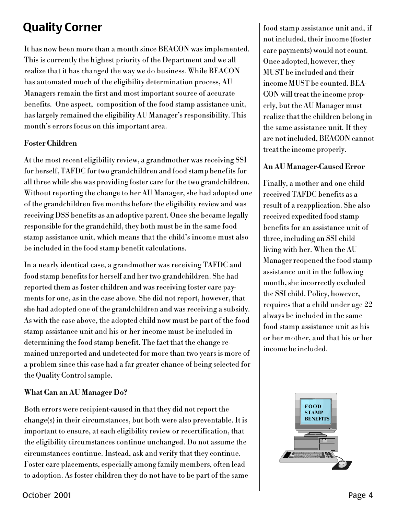# **Quality Corner**

It has now been more than a month since BEACON was implemented. This is currently the highest priority of the Department and we all realize that it has changed the way we do business. While BEACON has automated much of the eligibility determination process, AU Managers remain the first and most important source of accurate benefits. One aspect, composition of the food stamp assistance unit, has largely remained the eligibility AU Manager's responsibility. This month's errors focus on this important area.

#### **Foster Children**

At the most recent eligibility review, a grandmother was receiving SSI for herself, TAFDC for two grandchildren and food stamp benefits for all three while she was providing foster care for the two grandchildren. Without reporting the change to her AU Manager, she had adopted one of the grandchildren five months before the eligibility review and was receiving DSS benefits as an adoptive parent. Once she became legally responsible for the grandchild, they both must be in the same food stamp assistance unit, which means that the child's income must also be included in the food stamp benefit calculations.

In a nearly identical case, a grandmother was receiving TAFDC and food stamp benefits for herself and her two grandchildren. She had reported them as foster children and was receiving foster care payments for one, as in the case above. She did not report, however, that she had adopted one of the grandchildren and was receiving a subsidy. As with the case above, the adopted child now must be part of the food stamp assistance unit and his or her income must be included in determining the food stamp benefit. The fact that the change remained unreported and undetected for more than two years is more of a problem since this case had a far greater chance of being selected for the Quality Control sample.

### What Can an AU Manager Do?

Both errors were recipient-caused in that they did not report the change(s) in their circumstances, but both were also preventable. It is important to ensure, at each eligibility review or recertification, that the eligibility circumstances continue unchanged. Do not assume the circumstances continue. Instead, ask and verify that they continue. Foster care placements, especially among family members, often lead to adoption. As foster children they do not have to be part of the same food stamp assistance unit and, if not included, their income (foster care payments) would not count. Once adopted, however, they MUST be included and their income MUST be counted. BEA-CON will treat the income properly, but the AU Manager must realize that the children belong in the same assistance unit. If they are not included. BEACON cannot treat the income properly.

#### **An AU Manager-Caused Error**

Finally, a mother and one child received TAFDC benefits as a result of a reapplication. She also received expedited food stamp benefits for an assistance unit of three, including an SSI child living with her. When the AU Manager reopened the food stamp assistance unit in the following month, she incorrectly excluded the SSI child. Policy, however, requires that a child under age 22 always be included in the same food stamp assistance unit as his or her mother, and that his or her income be included.